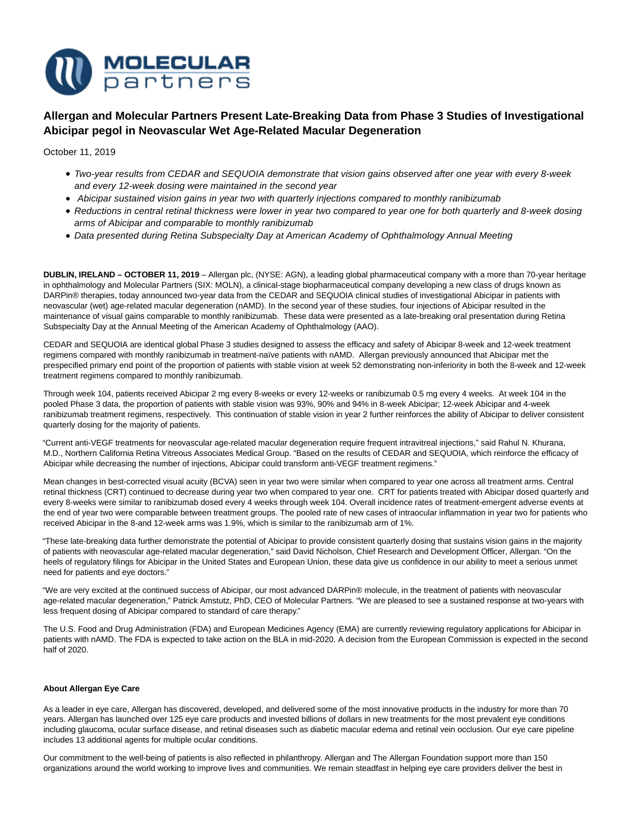

# **Allergan and Molecular Partners Present Late-Breaking Data from Phase 3 Studies of Investigational Abicipar pegol in Neovascular Wet Age-Related Macular Degeneration**

October 11, 2019

- Two-year results from CEDAR and SEQUOIA demonstrate that vision gains observed after one year with every 8-week and every 12-week dosing were maintained in the second year
- Abicipar sustained vision gains in year two with quarterly injections compared to monthly ranibizumab
- Reductions in central retinal thickness were lower in year two compared to year one for both quarterly and 8-week dosing arms of Abicipar and comparable to monthly ranibizumab
- Data presented during Retina Subspecialty Day at American Academy of Ophthalmology Annual Meeting

**DUBLIN, IRELAND – OCTOBER 11, 2019** – Allergan plc, (NYSE: AGN), a leading global pharmaceutical company with a more than 70-year heritage in ophthalmology and Molecular Partners (SIX: MOLN), a clinical-stage biopharmaceutical company developing a new class of drugs known as DARPin® therapies, today announced two-year data from the CEDAR and SEQUOIA clinical studies of investigational Abicipar in patients with neovascular (wet) age-related macular degeneration (nAMD). In the second year of these studies, four injections of Abicipar resulted in the maintenance of visual gains comparable to monthly ranibizumab. These data were presented as a late-breaking oral presentation during Retina Subspecialty Day at the Annual Meeting of the American Academy of Ophthalmology (AAO).

CEDAR and SEQUOIA are identical global Phase 3 studies designed to assess the efficacy and safety of Abicipar 8-week and 12-week treatment regimens compared with monthly ranibizumab in treatment-naïve patients with nAMD. Allergan previously announced that Abicipar met the prespecified primary end point of the proportion of patients with stable vision at week 52 demonstrating non-inferiority in both the 8-week and 12-week treatment regimens compared to monthly ranibizumab.

Through week 104, patients received Abicipar 2 mg every 8-weeks or every 12-weeks or ranibizumab 0.5 mg every 4 weeks. At week 104 in the pooled Phase 3 data, the proportion of patients with stable vision was 93%, 90% and 94% in 8-week Abicipar; 12-week Abicipar and 4-week ranibizumab treatment regimens, respectively. This continuation of stable vision in year 2 further reinforces the ability of Abicipar to deliver consistent quarterly dosing for the majority of patients.

"Current anti-VEGF treatments for neovascular age-related macular degeneration require frequent intravitreal injections," said Rahul N. Khurana, M.D., Northern California Retina Vitreous Associates Medical Group. "Based on the results of CEDAR and SEQUOIA, which reinforce the efficacy of Abicipar while decreasing the number of injections, Abicipar could transform anti-VEGF treatment regimens."

Mean changes in best-corrected visual acuity (BCVA) seen in year two were similar when compared to year one across all treatment arms. Central retinal thickness (CRT) continued to decrease during year two when compared to year one. CRT for patients treated with Abicipar dosed quarterly and every 8-weeks were similar to ranibizumab dosed every 4 weeks through week 104. Overall incidence rates of treatment-emergent adverse events at the end of year two were comparable between treatment groups. The pooled rate of new cases of intraocular inflammation in year two for patients who received Abicipar in the 8-and 12-week arms was 1.9%, which is similar to the ranibizumab arm of 1%.

"These late-breaking data further demonstrate the potential of Abicipar to provide consistent quarterly dosing that sustains vision gains in the majority of patients with neovascular age-related macular degeneration," said David Nicholson, Chief Research and Development Officer, Allergan. "On the heels of regulatory filings for Abicipar in the United States and European Union, these data give us confidence in our ability to meet a serious unmet need for patients and eye doctors."

"We are very excited at the continued success of Abicipar, our most advanced DARPin® molecule, in the treatment of patients with neovascular age-related macular degeneration," Patrick Amstutz, PhD, CEO of Molecular Partners. "We are pleased to see a sustained response at two-years with less frequent dosing of Abicipar compared to standard of care therapy."

The U.S. Food and Drug Administration (FDA) and European Medicines Agency (EMA) are currently reviewing regulatory applications for Abicipar in patients with nAMD. The FDA is expected to take action on the BLA in mid-2020. A decision from the European Commission is expected in the second half of 2020.

## **About Allergan Eye Care**

As a leader in eye care, Allergan has discovered, developed, and delivered some of the most innovative products in the industry for more than 70 years. Allergan has launched over 125 eye care products and invested billions of dollars in new treatments for the most prevalent eye conditions including glaucoma, ocular surface disease, and retinal diseases such as diabetic macular edema and retinal vein occlusion. Our eye care pipeline includes 13 additional agents for multiple ocular conditions.

Our commitment to the well-being of patients is also reflected in philanthropy. Allergan and The Allergan Foundation support more than 150 organizations around the world working to improve lives and communities. We remain steadfast in helping eye care providers deliver the best in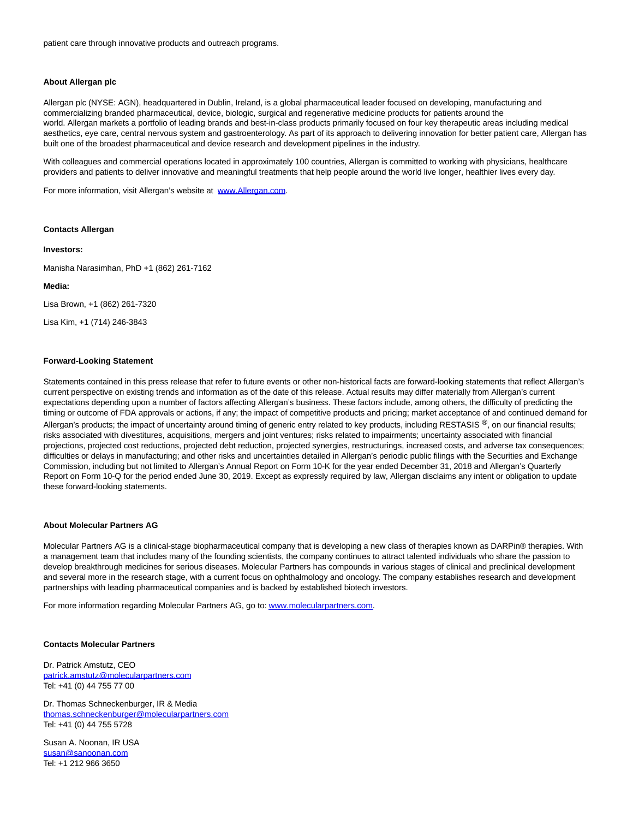patient care through innovative products and outreach programs.

#### **About Allergan plc**

Allergan plc (NYSE: AGN), headquartered in Dublin, Ireland, is a global pharmaceutical leader focused on developing, manufacturing and commercializing branded pharmaceutical, device, biologic, surgical and regenerative medicine products for patients around the world. Allergan markets a portfolio of leading brands and best-in-class products primarily focused on four key therapeutic areas including medical aesthetics, eye care, central nervous system and gastroenterology. As part of its approach to delivering innovation for better patient care, Allergan has built one of the broadest pharmaceutical and device research and development pipelines in the industry.

With colleagues and commercial operations located in approximately 100 countries, Allergan is committed to working with physicians, healthcare providers and patients to deliver innovative and meaningful treatments that help people around the world live longer, healthier lives every day.

For more information, visit Allergan's website at [www.Allergan.com.](https://c212.net/c/link/?t=0&l=en&o=2526934-1&h=1320843496&u=http%3A%2F%2Fwww.allergan.com%2F&a=www.Allergan.com)

#### **Contacts Allergan**

**Investors:**

Manisha Narasimhan, PhD +1 (862) 261-7162

#### **Media:**

Lisa Brown, +1 (862) 261-7320

Lisa Kim, +1 (714) 246-3843

#### **Forward-Looking Statement**

Statements contained in this press release that refer to future events or other non-historical facts are forward-looking statements that reflect Allergan's current perspective on existing trends and information as of the date of this release. Actual results may differ materially from Allergan's current expectations depending upon a number of factors affecting Allergan's business. These factors include, among others, the difficulty of predicting the timing or outcome of FDA approvals or actions, if any; the impact of competitive products and pricing; market acceptance of and continued demand for Allergan's products; the impact of uncertainty around timing of generic entry related to key products, including RESTASIS  $<sup>®</sup>$ , on our financial results;</sup> risks associated with divestitures, acquisitions, mergers and joint ventures; risks related to impairments; uncertainty associated with financial projections, projected cost reductions, projected debt reduction, projected synergies, restructurings, increased costs, and adverse tax consequences; difficulties or delays in manufacturing; and other risks and uncertainties detailed in Allergan's periodic public filings with the Securities and Exchange Commission, including but not limited to Allergan's Annual Report on Form 10-K for the year ended December 31, 2018 and Allergan's Quarterly Report on Form 10-Q for the period ended June 30, 2019. Except as expressly required by law, Allergan disclaims any intent or obligation to update these forward-looking statements.

### **About Molecular Partners AG**

Molecular Partners AG is a clinical-stage biopharmaceutical company that is developing a new class of therapies known as DARPin® therapies. With a management team that includes many of the founding scientists, the company continues to attract talented individuals who share the passion to develop breakthrough medicines for serious diseases. Molecular Partners has compounds in various stages of clinical and preclinical development and several more in the research stage, with a current focus on ophthalmology and oncology. The company establishes research and development partnerships with leading pharmaceutical companies and is backed by established biotech investors.

For more information regarding Molecular Partners AG, go to[: www.molecularpartners.com.](http://pr.report/p82fx-yR)

#### **Contacts Molecular Partners**

Dr. Patrick Amstutz, CEO [patrick.amstutz@molecularpartners.com](mailto:patrick.amstutz@molecularpartners.com) Tel: +41 (0) 44 755 77 00

Dr. Thomas Schneckenburger, IR & Media [thomas.schneckenburger@molecularpartners.com](mailto:thomas.schneckenburger@molecularpartners.com) Tel: +41 (0) 44 755 5728

Susan A. Noonan, IR USA [susan@sanoonan.com](mailto:susan@sanoonan.com) Tel: +1 212 966 3650